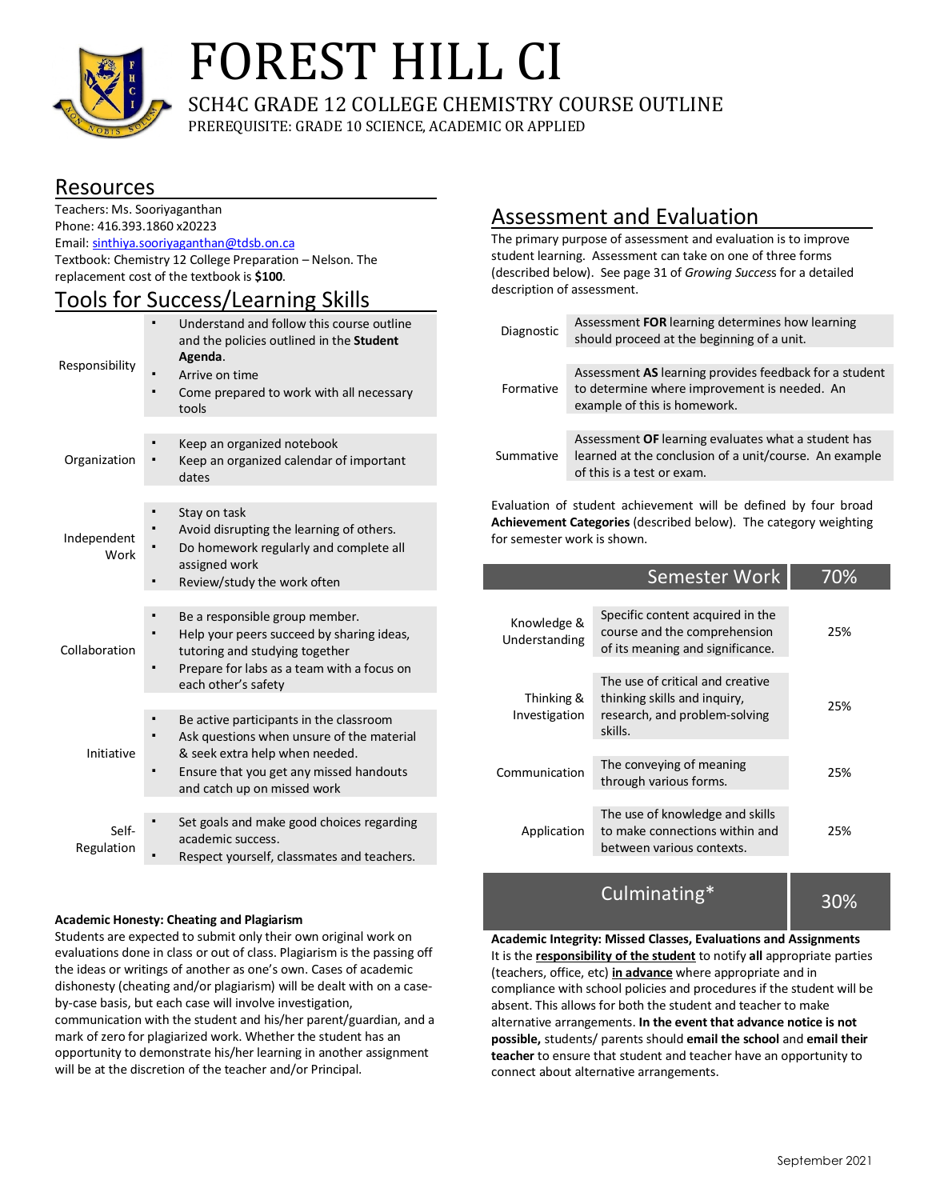

# FOREST HILL CI

SCH4C GRADE 12 COLLEGE CHEMISTRY COURSE OUTLINE

PREREQUISITE: GRADE 10 SCIENCE, ACADEMIC OR APPLIED

## Resources

Teachers: Ms. Sooriyaganthan Phone: 416.393.1860 x20223 Email: sinthiya.sooriyaganthan@tdsb.on.ca Textbook: Chemistry 12 College Preparation – Nelson. The replacement cost of the textbook is **\$100**.

## Tools for Success/Learning Skills

| Responsibility      | Understand and follow this course outline<br>and the policies outlined in the Student<br>Agenda.<br>Arrive on time<br>Come prepared to work with all necessary<br>tools                          |  |
|---------------------|--------------------------------------------------------------------------------------------------------------------------------------------------------------------------------------------------|--|
| Organization        | Keep an organized notebook<br>Keep an organized calendar of important<br>dates                                                                                                                   |  |
| Independent<br>Work | Stay on task<br>Avoid disrupting the learning of others.<br>Do homework regularly and complete all<br>assigned work<br>Review/study the work often                                               |  |
| Collaboration       | Be a responsible group member.<br>Help your peers succeed by sharing ideas,<br>tutoring and studying together<br>Prepare for labs as a team with a focus on<br>each other's safety               |  |
| Initiative          | Be active participants in the classroom<br>Ask questions when unsure of the material<br>& seek extra help when needed.<br>Ensure that you get any missed handouts<br>and catch up on missed work |  |
| Self-<br>Regulation | Set goals and make good choices regarding<br>academic success.<br>Respect yourself, classmates and teachers.                                                                                     |  |

#### **Academic Honesty: Cheating and Plagiarism**

Students are expected to submit only their own original work on evaluations done in class or out of class. Plagiarism is the passing off the ideas or writings of another as one's own. Cases of academic dishonesty (cheating and/or plagiarism) will be dealt with on a caseby-case basis, but each case will involve investigation, communication with the student and his/her parent/guardian, and a mark of zero for plagiarized work. Whether the student has an opportunity to demonstrate his/her learning in another assignment will be at the discretion of the teacher and/or Principal.

## Assessment and Evaluation

The primary purpose of assessment and evaluation is to improve student learning. Assessment can take on one of three forms (described below). See page 31 of *Growing Succes*s for a detailed description of assessment.

| Diagnostic | Assessment FOR learning determines how learning<br>should proceed at the beginning of a unit.                                               |  |
|------------|---------------------------------------------------------------------------------------------------------------------------------------------|--|
|            |                                                                                                                                             |  |
| Formative  | Assessment AS learning provides feedback for a student<br>to determine where improvement is needed. An<br>example of this is homework.      |  |
|            |                                                                                                                                             |  |
| Summative  | Assessment OF learning evaluates what a student has<br>learned at the conclusion of a unit/course. An example<br>of this is a test or exam. |  |
|            |                                                                                                                                             |  |

Evaluation of student achievement will be defined by four broad **Achievement Categories** (described below). The category weighting for semester work is shown.

| Semester Work                                                                                                | 70% |
|--------------------------------------------------------------------------------------------------------------|-----|
| Specific content acquired in the<br>course and the comprehension<br>of its meaning and significance.         | 25% |
| The use of critical and creative<br>thinking skills and inquiry,<br>research, and problem-solving<br>skills. | 25% |
| The conveying of meaning<br>through various forms.                                                           | 25% |
| The use of knowledge and skills<br>to make connections within and<br>between various contexts.               | 25% |
|                                                                                                              |     |

Culminating\*

30%

**Academic Integrity: Missed Classes, Evaluations and Assignments** It is the **responsibility of the student** to notify **all** appropriate parties (teachers, office, etc) **in advance** where appropriate and in compliance with school policies and procedures if the student will be absent. This allows for both the student and teacher to make alternative arrangements. **In the event that advance notice is not possible,** students/ parents should **email the school** and **email their teacher** to ensure that student and teacher have an opportunity to connect about alternative arrangements.